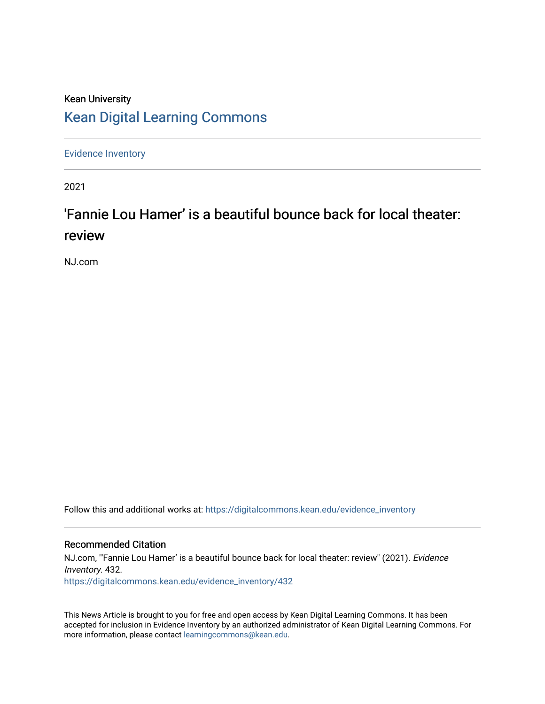## Kean University [Kean Digital Learning Commons](https://digitalcommons.kean.edu/)

[Evidence Inventory](https://digitalcommons.kean.edu/evidence_inventory) 

2021

# 'Fannie Lou Hamer' is a beautiful bounce back for local theater: review

NJ.com

Follow this and additional works at: [https://digitalcommons.kean.edu/evidence\\_inventory](https://digitalcommons.kean.edu/evidence_inventory?utm_source=digitalcommons.kean.edu%2Fevidence_inventory%2F432&utm_medium=PDF&utm_campaign=PDFCoverPages)

#### Recommended Citation

NJ.com, "Fannie Lou Hamer' is a beautiful bounce back for local theater: review" (2021). Evidence Inventory. 432. [https://digitalcommons.kean.edu/evidence\\_inventory/432](https://digitalcommons.kean.edu/evidence_inventory/432?utm_source=digitalcommons.kean.edu%2Fevidence_inventory%2F432&utm_medium=PDF&utm_campaign=PDFCoverPages)

This News Article is brought to you for free and open access by Kean Digital Learning Commons. It has been accepted for inclusion in Evidence Inventory by an authorized administrator of Kean Digital Learning Commons. For more information, please contact [learningcommons@kean.edu](mailto:learningcommons@kean.edu).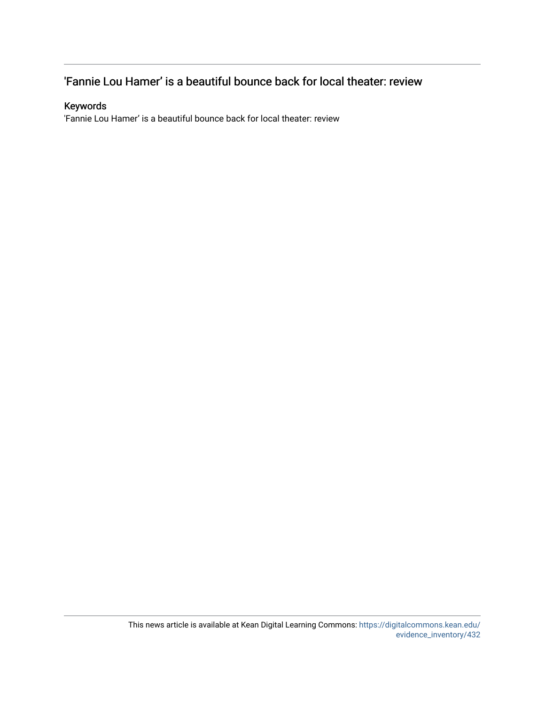### 'Fannie Lou Hamer' is a beautiful bounce back for local theater: review

#### Keywords

'Fannie Lou Hamer' is a beautiful bounce back for local theater: review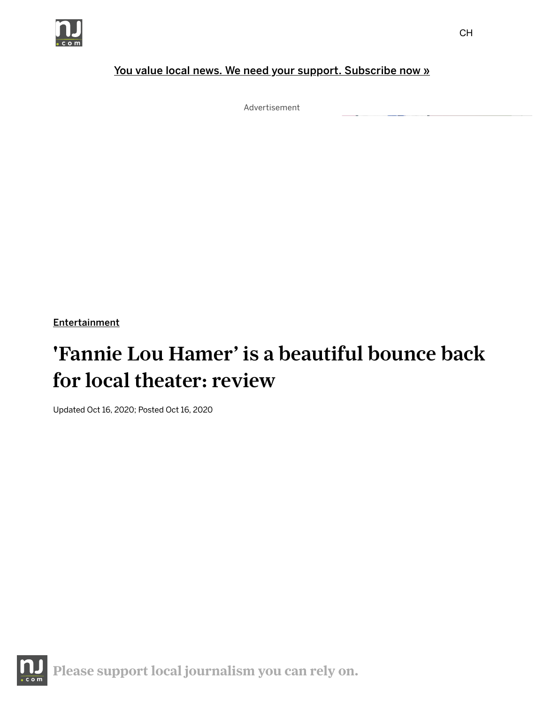

#### You value local news. We need your support. [Subscribe](https://www.nj.com/digitalsubscription/inline/) now »

Advertisement

**[Entertainment](https://www.nj.com/entertainment)** 

# 'Fannie Lou Hamer' is a beautiful bounce back for local theater: review

Updated Oct 16, 2020; Posted Oct 16, 2020

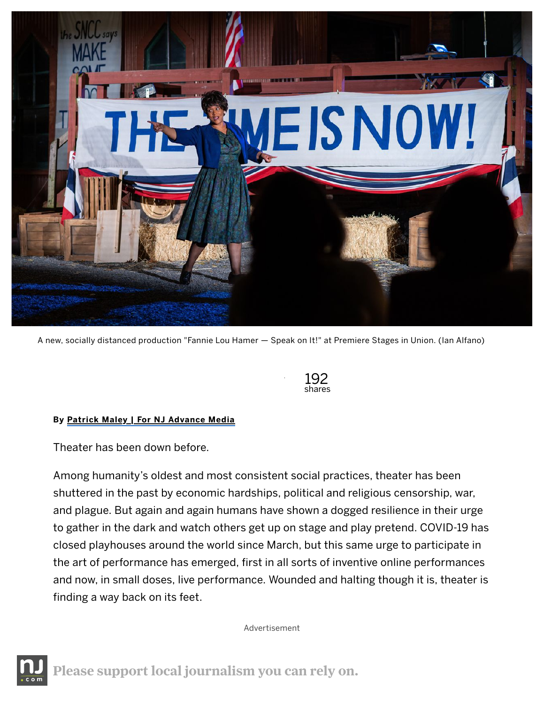

A new, socially distanced production "Fannie Lou Hamer — Speak on It!" at Premiere Stages in Union. (Ian Alfano)



#### By Patrick Maley | For NJ [Advance](http://connect.nj.com/staff/pmaley/posts.html) Media

Theater has been down before.

Among humanity's oldest and most consistent social practices, theater has been shuttered in the past by economic hardships, political and religious censorship, war, and plague. But again and again humans have shown a dogged resilience in their urge to gather in the dark and watch others get up on stage and play pretend. COVID-19 has closed playhouses around the world since March, but this same urge to participate in the art of performance has emerged, first in all sorts of inventive online performances and now, in small doses, live performance. Wounded and halting though it is, theater is finding a way back on its feet.

Advertisement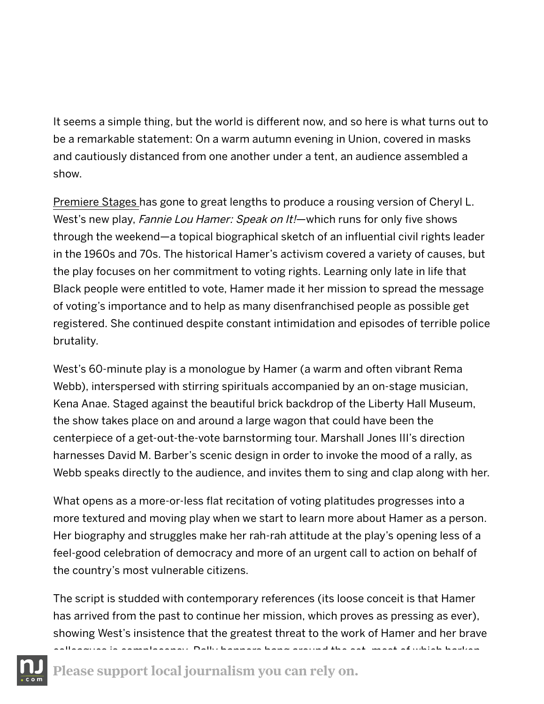It seems a simple thing, but the world is different now, and so here is what turns out to be a remarkable statement: On a warm autumn evening in Union, covered in masks and cautiously distanced from one another under a tent, an audience assembled a show.

[Premiere](http://www.premierestagesatkean.com/) Stages has gone to great lengths to produce a rousing version of Cheryl L. West's new play, Fannie Lou Hamer: Speak on It!—which runs for only five shows through the weekend—a topical biographical sketch of an influential civil rights leader in the 1960s and 70s. The historical Hamer's activism covered a variety of causes, but the play focuses on her commitment to voting rights. Learning only late in life that Black people were entitled to vote, Hamer made it her mission to spread the message of voting's importance and to help as many disenfranchised people as possible get registered. She continued despite constant intimidation and episodes of terrible police brutality.

West's 60-minute play is a monologue by Hamer (a warm and often vibrant Rema Webb), interspersed with stirring spirituals accompanied by an on-stage musician, Kena Anae. Staged against the beautiful brick backdrop of the Liberty Hall Museum, the show takes place on and around a large wagon that could have been the centerpiece of a get-out-the-vote barnstorming tour. Marshall Jones III's direction harnesses David M. Barber's scenic design in order to invoke the mood of a rally, as Webb speaks directly to the audience, and invites them to sing and clap along with her.

What opens as a more-or-less flat recitation of voting platitudes progresses into a more textured and moving play when we start to learn more about Hamer as a person. Her biography and struggles make her rah-rah attitude at the play's opening less of a feel-good celebration of democracy and more of an urgent call to action on behalf of the country's most vulnerable citizens.

The script is studded with contemporary references (its loose conceit is that Hamer has arrived from the past to continue her mission, which proves as pressing as ever), showing West's insistence that the greatest threat to the work of Hamer and her brave cus Dally banners hang around the set, most of which harken



Please support local [journalism](https://buy.tinypass.com/checkout/template/) you can rely on.